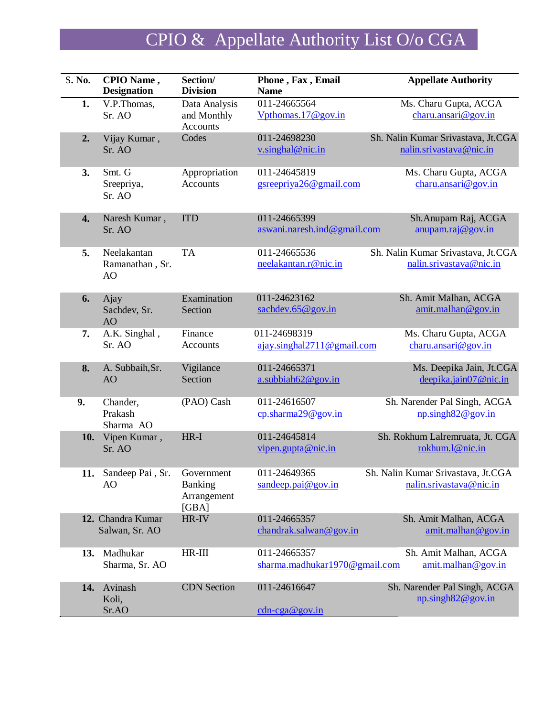## CPIO & Appellate Authority List O/o CGA

| S. No. | CPIO Name,<br><b>Designation</b>     | Section/<br><b>Division</b>                     | Phone, Fax, Email<br><b>Name</b>              | <b>Appellate Authority</b>                                      |
|--------|--------------------------------------|-------------------------------------------------|-----------------------------------------------|-----------------------------------------------------------------|
| 1.     | V.P.Thomas,<br>Sr. AO                | Data Analysis<br>and Monthly<br><b>Accounts</b> | 011-24665564<br>Vpthomas.17@gov.in            | Ms. Charu Gupta, ACGA<br>charu.ansari@gov.in                    |
| 2.     | Vijay Kumar,<br>Sr. AO               | Codes                                           | 011-24698230<br>v.singhal@nic.in              | Sh. Nalin Kumar Srivastava, Jt.CGA<br>nalin.srivastava@nic.in   |
| 3.     | Smt. G<br>Sreepriya,<br>Sr. AO       | Appropriation<br><b>Accounts</b>                | 011-24645819<br>gsreepriya26@gmail.com        | Ms. Charu Gupta, ACGA<br>charu.ansari@gov.in                    |
| 4.     | Naresh Kumar,<br>Sr. AO              | <b>ITD</b>                                      | 011-24665399<br>aswani.naresh.ind@gmail.com   | Sh. Anupam Raj, ACGA<br>anupam.raj@gov.in                       |
| 5.     | Neelakantan<br>Ramanathan, Sr.<br>AO | <b>TA</b>                                       | 011-24665536<br>neelakantan.r@nic.in          | Sh. Nalin Kumar Srivastava, Jt.CGA<br>nalin.srivastava@nic.in   |
| 6.     | Ajay<br>Sachdev, Sr.<br>AO           | Examination<br>Section                          | 011-24623162<br>sachdev.65@gov.in             | Sh. Amit Malhan, ACGA<br>amit.malhan@gov.in                     |
| 7.     | A.K. Singhal,<br>Sr. AO              | Finance<br>Accounts                             | 011-24698319<br>ajay.singhal2711@gmail.com    | Ms. Charu Gupta, ACGA<br>charu.ansari@gov.in                    |
| 8.     | A. Subbaih, Sr.<br>AO                | Vigilance<br>Section                            | 011-24665371<br>$a$ .subbiah $62@$ gov.in     | Ms. Deepika Jain, Jt.CGA<br>deepika.jain07@nic.in               |
| 9.     | Chander,<br>Prakash<br>Sharma AO     | (PAO) Cash                                      | 011-24616507<br>cp.sharma29@gov.in            | Sh. Narender Pal Singh, ACGA<br>$np.\frac{\sin ph82@gov.in}{h}$ |
| 10.    | Vipen Kumar,<br>Sr. AO               | $HR-I$                                          | 011-24645814<br>vipen.gupta@nic.in            | Sh. Rokhum Lalremruata, Jt. CGA<br>rokhum.1@nic.in              |
| 11.    | Sandeep Pai, Sr.<br>AO               | Government<br>Banking<br>Arrangement<br>[GBA]   | 011-24649365<br>sandeep.pai@gov.in            | Sh. Nalin Kumar Srivastava, Jt.CGA<br>nalin.srivastava@nic.in   |
|        | 12. Chandra Kumar<br>Salwan, Sr. AO  | HR-IV                                           | 011-24665357<br>chandrak.salwan@gov.in        | Sh. Amit Malhan, ACGA<br>amit.malhan@gov.in                     |
| 13.    | Madhukar<br>Sharma, Sr. AO           | $HR-III$                                        | 011-24665357<br>sharma.madhukar1970@gmail.com | Sh. Amit Malhan, ACGA<br>amit.malhan@gov.in                     |
| 14.    | Avinash<br>Koli,<br>Sr.AO            | <b>CDN</b> Section                              | 011-24616647<br>$cdn-cga@gov.in$              | Sh. Narender Pal Singh, ACGA<br>$np.\frac{\sin ph82@gov.in}{h}$ |